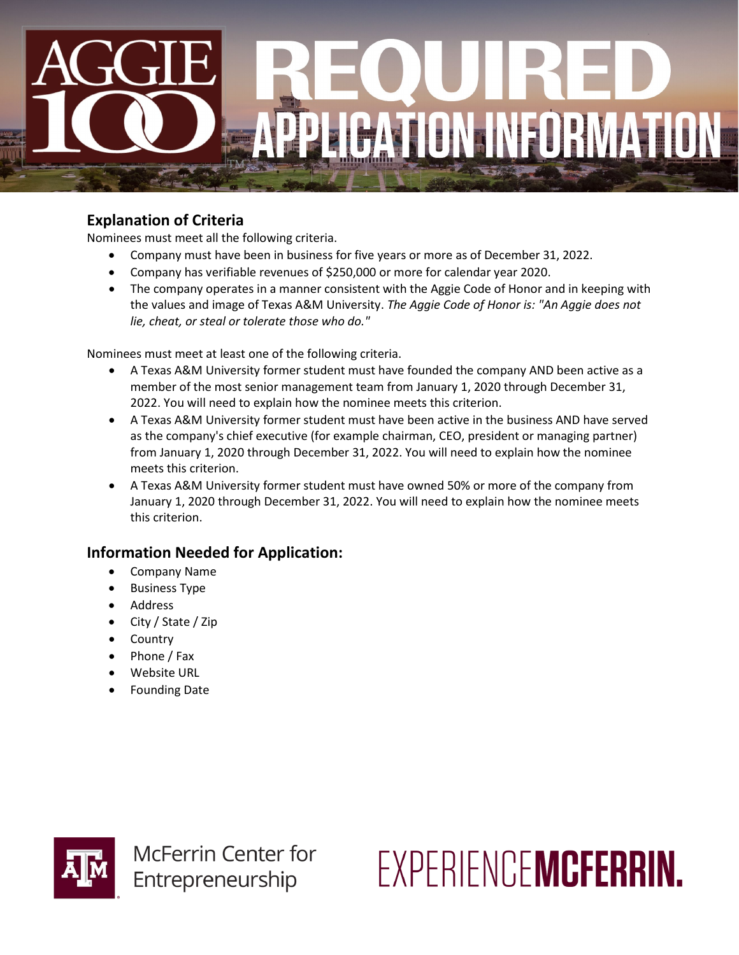# ATION INFORMATION

## **Explanation of Criteria**

Nominees must meet all the following criteria.

- Company must have been in business for five years or more as of December 31, 2022.
- Company has verifiable revenues of \$250,000 or more for calendar year 2020.
- The company operates in a manner consistent with the Aggie Code of Honor and in keeping with the values and image of Texas A&M University. *The Aggie Code of Honor is: "An Aggie does not lie, cheat, or steal or tolerate those who do."*

Nominees must meet at least one of the following criteria.

- A Texas A&M University former student must have founded the company AND been active as a member of the most senior management team from January 1, 2020 through December 31, 2022. You will need to explain how the nominee meets this criterion.
- A Texas A&M University former student must have been active in the business AND have served as the company's chief executive (for example chairman, CEO, president or managing partner) from January 1, 2020 through December 31, 2022. You will need to explain how the nominee meets this criterion.
- A Texas A&M University former student must have owned 50% or more of the company from January 1, 2020 through December 31, 2022. You will need to explain how the nominee meets this criterion.

# **Information Needed for Application:**

- Company Name
- Business Type
- Address
- City / State / Zip
- Country
- Phone / Fax
- Website URL
- Founding Date



**McFerrin Center for** Entrepreneurship

FXPERIENCEMCFERRIN.